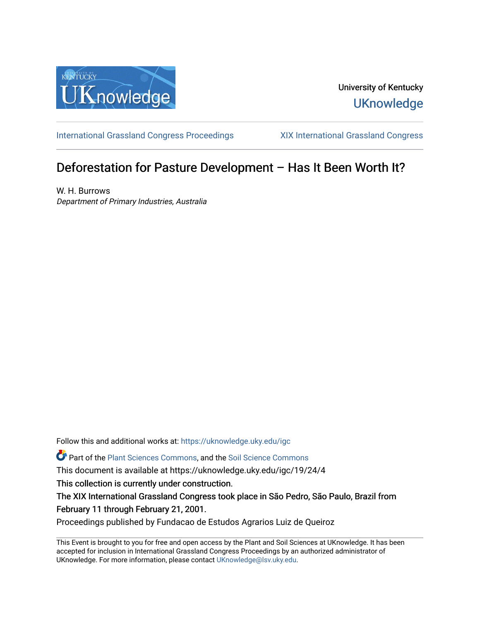

University of Kentucky **UKnowledge** 

[International Grassland Congress Proceedings](https://uknowledge.uky.edu/igc) [XIX International Grassland Congress](https://uknowledge.uky.edu/igc/19) 

# Deforestation for Pasture Development – Has It Been Worth It?

W. H. Burrows Department of Primary Industries, Australia

Follow this and additional works at: [https://uknowledge.uky.edu/igc](https://uknowledge.uky.edu/igc?utm_source=uknowledge.uky.edu%2Figc%2F19%2F24%2F4&utm_medium=PDF&utm_campaign=PDFCoverPages) 

Part of the [Plant Sciences Commons](http://network.bepress.com/hgg/discipline/102?utm_source=uknowledge.uky.edu%2Figc%2F19%2F24%2F4&utm_medium=PDF&utm_campaign=PDFCoverPages), and the [Soil Science Commons](http://network.bepress.com/hgg/discipline/163?utm_source=uknowledge.uky.edu%2Figc%2F19%2F24%2F4&utm_medium=PDF&utm_campaign=PDFCoverPages) 

This document is available at https://uknowledge.uky.edu/igc/19/24/4

This collection is currently under construction.

The XIX International Grassland Congress took place in São Pedro, São Paulo, Brazil from February 11 through February 21, 2001.

Proceedings published by Fundacao de Estudos Agrarios Luiz de Queiroz

This Event is brought to you for free and open access by the Plant and Soil Sciences at UKnowledge. It has been accepted for inclusion in International Grassland Congress Proceedings by an authorized administrator of UKnowledge. For more information, please contact [UKnowledge@lsv.uky.edu](mailto:UKnowledge@lsv.uky.edu).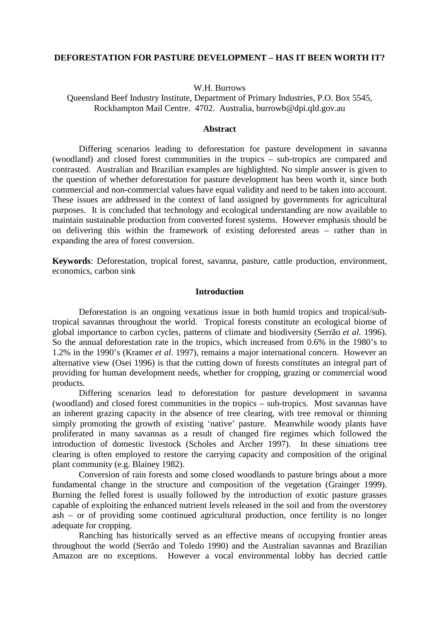## **DEFORESTATION FOR PASTURE DEVELOPMENT – HAS IT BEEN WORTH IT?**

W.H. Burrows

Queensland Beef Industry Institute, Department of Primary Industries, P.O. Box 5545, Rockhampton Mail Centre. 4702. Australia, burrowb@dpi.qld.gov.au

## **Abstract**

Differing scenarios leading to deforestation for pasture development in savanna (woodland) and closed forest communities in the tropics – sub-tropics are compared and contrasted. Australian and Brazilian examples are highlighted. No simple answer is given to the question of whether deforestation for pasture development has been worth it, since both commercial and non-commercial values have equal validity and need to be taken into account. These issues are addressed in the context of land assigned by governments for agricultural purposes. It is concluded that technology and ecological understanding are now available to maintain sustainable production from converted forest systems. However emphasis should be on delivering this within the framework of existing deforested areas – rather than in expanding the area of forest conversion.

**Keywords**: Deforestation, tropical forest, savanna, pasture, cattle production, environment, economics, carbon sink

#### **Introduction**

Deforestation is an ongoing vexatious issue in both humid tropics and tropical/subtropical savannas throughout the world. Tropical forests constitute an ecological biome of global importance to carbon cycles, patterns of climate and biodiversity (Serrão *et al.* 1996). So the annual deforestation rate in the tropics, which increased from 0.6% in the 1980's to 1.2% in the 1990's (Kramer *et al.* 1997), remains a major international concern. However an alternative view (Osei 1996) is that the cutting down of forests constitutes an integral part of providing for human development needs, whether for cropping, grazing or commercial wood products.

Differing scenarios lead to deforestation for pasture development in savanna (woodland) and closed forest communities in the tropics – sub-tropics. Most savannas have an inherent grazing capacity in the absence of tree clearing, with tree removal or thinning simply promoting the growth of existing 'native' pasture. Meanwhile woody plants have proliferated in many savannas as a result of changed fire regimes which followed the introduction of domestic livestock (Scholes and Archer 1997). In these situations tree clearing is often employed to restore the carrying capacity and composition of the original plant community (e.g. Blainey 1982).

Conversion of rain forests and some closed woodlands to pasture brings about a more fundamental change in the structure and composition of the vegetation (Grainger 1999). Burning the felled forest is usually followed by the introduction of exotic pasture grasses capable of exploiting the enhanced nutrient levels released in the soil and from the overstorey ash – or of providing some continued agricultural production, once fertility is no longer adequate for cropping.

Ranching has historically served as an effective means of occupying frontier areas throughout the world (Serrão and Toledo 1990) and the Australian savannas and Brazilian Amazon are no exceptions. However a vocal environmental lobby has decried cattle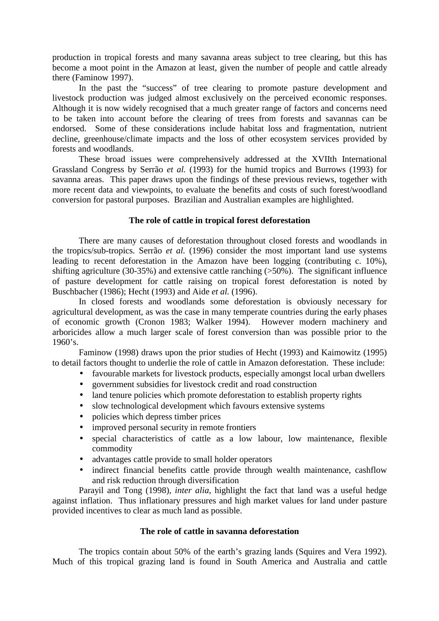production in tropical forests and many savanna areas subject to tree clearing, but this has become a moot point in the Amazon at least, given the number of people and cattle already there (Faminow 1997).

In the past the "success" of tree clearing to promote pasture development and livestock production was judged almost exclusively on the perceived economic responses. Although it is now widely recognised that a much greater range of factors and concerns need to be taken into account before the clearing of trees from forests and savannas can be endorsed. Some of these considerations include habitat loss and fragmentation, nutrient decline, greenhouse/climate impacts and the loss of other ecosystem services provided by forests and woodlands.

These broad issues were comprehensively addressed at the XVIIth International Grassland Congress by Serrão *et al.* (1993) for the humid tropics and Burrows (1993) for savanna areas. This paper draws upon the findings of these previous reviews, together with more recent data and viewpoints, to evaluate the benefits and costs of such forest/woodland conversion for pastoral purposes. Brazilian and Australian examples are highlighted.

## **The role of cattle in tropical forest deforestation**

There are many causes of deforestation throughout closed forests and woodlands in the tropics/sub-tropics. Serrão *et al.* (1996) consider the most important land use systems leading to recent deforestation in the Amazon have been logging (contributing c. 10%), shifting agriculture (30-35%) and extensive cattle ranching  $(>50\%)$ . The significant influence of pasture development for cattle raising on tropical forest deforestation is noted by Buschbacher (1986); Hecht (1993) and Aide *et al.* (1996).

In closed forests and woodlands some deforestation is obviously necessary for agricultural development, as was the case in many temperate countries during the early phases of economic growth (Cronon 1983; Walker 1994). However modern machinery and arboricides allow a much larger scale of forest conversion than was possible prior to the  $1960's.$ 

Faminow (1998) draws upon the prior studies of Hecht (1993) and Kaimowitz (1995) to detail factors thought to underlie the role of cattle in Amazon deforestation. These include:

- favourable markets for livestock products, especially amongst local urban dwellers
- government subsidies for livestock credit and road construction
- land tenure policies which promote deforestation to establish property rights
- slow technological development which favours extensive systems
- policies which depress timber prices
- improved personal security in remote frontiers
- special characteristics of cattle as a low labour, low maintenance, flexible commodity
- advantages cattle provide to small holder operators
- indirect financial benefits cattle provide through wealth maintenance, cashflow and risk reduction through diversification

Parayil and Tong (1998), *inter alia*, highlight the fact that land was a useful hedge against inflation. Thus inflationary pressures and high market values for land under pasture provided incentives to clear as much land as possible.

# **The role of cattle in savanna deforestation**

The tropics contain about 50% of the earth's grazing lands (Squires and Vera 1992). Much of this tropical grazing land is found in South America and Australia and cattle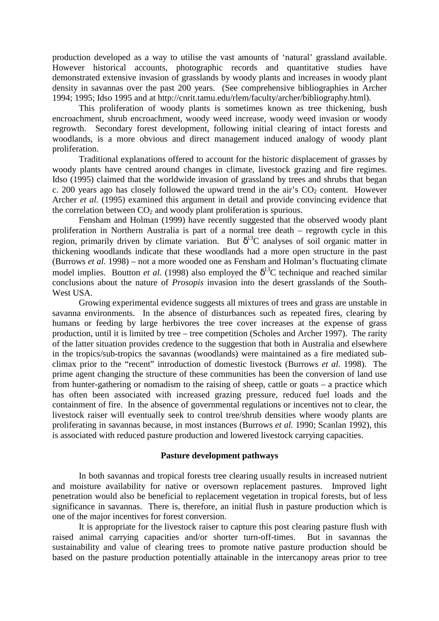production developed as a way to utilise the vast amounts of 'natural' grassland available. However historical accounts, photographic records and quantitative studies have demonstrated extensive invasion of grasslands by woody plants and increases in woody plant density in savannas over the past 200 years. (See comprehensive bibliographies in Archer 1994; 1995; Idso 1995 and at http://cnrit.tamu.edu/rlem/faculty/archer/bibliography.html).

This proliferation of woody plants is sometimes known as tree thickening, bush encroachment, shrub encroachment, woody weed increase, woody weed invasion or woody regrowth. Secondary forest development, following initial clearing of intact forests and woodlands, is a more obvious and direct management induced analogy of woody plant proliferation.

Traditional explanations offered to account for the historic displacement of grasses by woody plants have centred around changes in climate, livestock grazing and fire regimes. Idso (1995) claimed that the worldwide invasion of grassland by trees and shrubs that began c. 200 years ago has closely followed the upward trend in the air's  $CO<sub>2</sub>$  content. However Archer *et al.* (1995) examined this argument in detail and provide convincing evidence that the correlation between  $CO<sub>2</sub>$  and woody plant proliferation is spurious.

Fensham and Holman (1999) have recently suggested that the observed woody plant proliferation in Northern Australia is part of a normal tree death – regrowth cycle in this region, primarily driven by climate variation. But  $\delta^{13}$ C analyses of soil organic matter in thickening woodlands indicate that these woodlands had a more open structure in the past (Burrows *et al.* 1998) – not a more wooded one as Fensham and Holman's fluctuating climate model implies. Boutton *et al.* (1998) also employed the  $\delta^{13}$ C technique and reached similar conclusions about the nature of *Prosopis* invasion into the desert grasslands of the South-West USA.

Growing experimental evidence suggests all mixtures of trees and grass are unstable in savanna environments. In the absence of disturbances such as repeated fires, clearing by humans or feeding by large herbivores the tree cover increases at the expense of grass production, until it is limited by tree – tree competition (Scholes and Archer 1997). The rarity of the latter situation provides credence to the suggestion that both in Australia and elsewhere in the tropics/sub-tropics the savannas (woodlands) were maintained as a fire mediated subclimax prior to the "recent" introduction of domestic livestock (Burrows *et al.* 1998). The prime agent changing the structure of these communities has been the conversion of land use from hunter-gathering or nomadism to the raising of sheep, cattle or goats – a practice which has often been associated with increased grazing pressure, reduced fuel loads and the containment of fire. In the absence of governmental regulations or incentives not to clear, the livestock raiser will eventually seek to control tree/shrub densities where woody plants are proliferating in savannas because, in most instances (Burrows *et al.* 1990; Scanlan 1992), this is associated with reduced pasture production and lowered livestock carrying capacities.

# **Pasture development pathways**

In both savannas and tropical forests tree clearing usually results in increased nutrient and moisture availability for native or oversown replacement pastures. Improved light penetration would also be beneficial to replacement vegetation in tropical forests, but of less significance in savannas. There is, therefore, an initial flush in pasture production which is one of the major incentives for forest conversion.

It is appropriate for the livestock raiser to capture this post clearing pasture flush with raised animal carrying capacities and/or shorter turn-off-times. But in savannas the sustainability and value of clearing trees to promote native pasture production should be based on the pasture production potentially attainable in the intercanopy areas prior to tree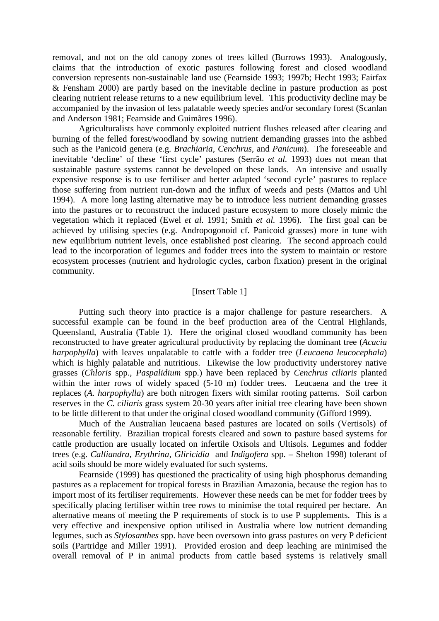removal, and not on the old canopy zones of trees killed (Burrows 1993). Analogously, claims that the introduction of exotic pastures following forest and closed woodland conversion represents non-sustainable land use (Fearnside 1993; 1997b; Hecht 1993; Fairfax & Fensham 2000) are partly based on the inevitable decline in pasture production as post clearing nutrient release returns to a new equilibrium level. This productivity decline may be accompanied by the invasion of less palatable weedy species and/or secondary forest (Scanlan and Anderson 1981; Fearnside and Guimãres 1996).

Agriculturalists have commonly exploited nutrient flushes released after clearing and burning of the felled forest/woodland by sowing nutrient demanding grasses into the ashbed such as the Panicoid genera (e.g. *Brachiaria, Cenchrus,* and *Panicum*). The foreseeable and inevitable 'decline' of these 'first cycle' pastures (Serrão *et al.* 1993) does not mean that sustainable pasture systems cannot be developed on these lands. An intensive and usually expensive response is to use fertiliser and better adapted 'second cycle' pastures to replace those suffering from nutrient run-down and the influx of weeds and pests (Mattos and Uhl 1994). A more long lasting alternative may be to introduce less nutrient demanding grasses into the pastures or to reconstruct the induced pasture ecosystem to more closely mimic the vegetation which it replaced (Ewel *et al.* 1991; Smith *et al.* 1996). The first goal can be achieved by utilising species (e.g. Andropogonoid cf. Panicoid grasses) more in tune with new equilibrium nutrient levels, once established post clearing. The second approach could lead to the incorporation of legumes and fodder trees into the system to maintain or restore ecosystem processes (nutrient and hydrologic cycles, carbon fixation) present in the original community.

## [Insert Table 1]

Putting such theory into practice is a major challenge for pasture researchers. A successful example can be found in the beef production area of the Central Highlands, Queensland, Australia (Table 1). Here the original closed woodland community has been reconstructed to have greater agricultural productivity by replacing the dominant tree (*Acacia harpophylla*) with leaves unpalatable to cattle with a fodder tree (*Leucaena leucocephala*) which is highly palatable and nutritious. Likewise the low productivity understorey native grasses (*Chloris* spp., *Paspalidium* spp.) have been replaced by *Cenchrus ciliaris* planted within the inter rows of widely spaced (5-10 m) fodder trees. Leucaena and the tree it replaces (*A. harpophylla*) are both nitrogen fixers with similar rooting patterns. Soil carbon reserves in the *C. ciliaris* grass system 20-30 years after initial tree clearing have been shown to be little different to that under the original closed woodland community (Gifford 1999).

Much of the Australian leucaena based pastures are located on soils (Vertisols) of reasonable fertility. Brazilian tropical forests cleared and sown to pasture based systems for cattle production are usually located on infertile Oxisols and Ultisols. Legumes and fodder trees (e.g. *Calliandra, Erythrina, Gliricidia* and *Indigofera* spp. – Shelton 1998) tolerant of acid soils should be more widely evaluated for such systems.

Fearnside (1999) has questioned the practicality of using high phosphorus demanding pastures as a replacement for tropical forests in Brazilian Amazonia, because the region has to import most of its fertiliser requirements. However these needs can be met for fodder trees by specifically placing fertiliser within tree rows to minimise the total required per hectare. An alternative means of meeting the P requirements of stock is to use P supplements. This is a very effective and inexpensive option utilised in Australia where low nutrient demanding legumes, such as *Stylosanthes* spp. have been oversown into grass pastures on very P deficient soils (Partridge and Miller 1991). Provided erosion and deep leaching are minimised the overall removal of P in animal products from cattle based systems is relatively small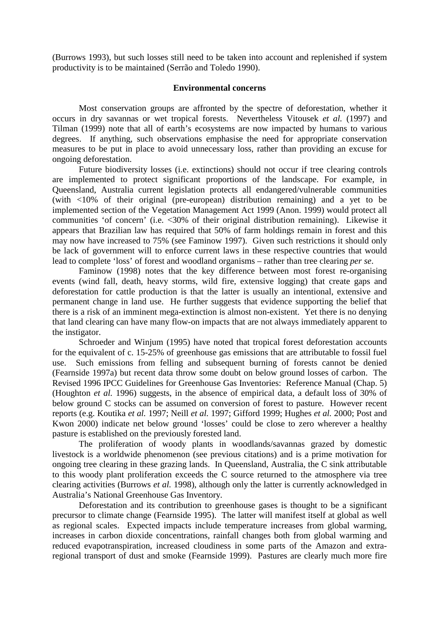(Burrows 1993), but such losses still need to be taken into account and replenished if system productivity is to be maintained (Serrão and Toledo 1990).

#### **Environmental concerns**

Most conservation groups are affronted by the spectre of deforestation, whether it occurs in dry savannas or wet tropical forests. Nevertheless Vitousek *et al.* (1997) and Tilman (1999) note that all of earth's ecosystems are now impacted by humans to various degrees. If anything, such observations emphasise the need for appropriate conservation measures to be put in place to avoid unnecessary loss, rather than providing an excuse for ongoing deforestation.

Future biodiversity losses (i.e. extinctions) should not occur if tree clearing controls are implemented to protect significant proportions of the landscape. For example, in Queensland, Australia current legislation protects all endangered/vulnerable communities (with <10% of their original (pre-european) distribution remaining) and a yet to be implemented section of the Vegetation Management Act 1999 (Anon. 1999) would protect all communities 'of concern' (i.e. <30% of their original distribution remaining). Likewise it appears that Brazilian law has required that 50% of farm holdings remain in forest and this may now have increased to 75% (see Faminow 1997). Given such restrictions it should only be lack of government will to enforce current laws in these respective countries that would lead to complete 'loss' of forest and woodland organisms – rather than tree clearing *per se*.

Faminow (1998) notes that the key difference between most forest re-organising events (wind fall, death, heavy storms, wild fire, extensive logging) that create gaps and deforestation for cattle production is that the latter is usually an intentional, extensive and permanent change in land use. He further suggests that evidence supporting the belief that there is a risk of an imminent mega-extinction is almost non-existent. Yet there is no denying that land clearing can have many flow-on impacts that are not always immediately apparent to the instigator.

Schroeder and Winjum (1995) have noted that tropical forest deforestation accounts for the equivalent of c. 15-25% of greenhouse gas emissions that are attributable to fossil fuel use. Such emissions from felling and subsequent burning of forests cannot be denied (Fearnside 1997a) but recent data throw some doubt on below ground losses of carbon. The Revised 1996 IPCC Guidelines for Greenhouse Gas Inventories: Reference Manual (Chap. 5) (Houghton *et al.* 1996) suggests, in the absence of empirical data, a default loss of 30% of below ground C stocks can be assumed on conversion of forest to pasture. However recent reports (e.g. Koutika *et al.* 1997; Neill *et al.* 1997; Gifford 1999; Hughes *et al.* 2000; Post and Kwon 2000) indicate net below ground 'losses' could be close to zero wherever a healthy pasture is established on the previously forested land.

The proliferation of woody plants in woodlands/savannas grazed by domestic livestock is a worldwide phenomenon (see previous citations) and is a prime motivation for ongoing tree clearing in these grazing lands. In Queensland, Australia, the C sink attributable to this woody plant proliferation exceeds the C source returned to the atmosphere via tree clearing activities (Burrows *et al.* 1998), although only the latter is currently acknowledged in Australia's National Greenhouse Gas Inventory.

Deforestation and its contribution to greenhouse gases is thought to be a significant precursor to climate change (Fearnside 1995). The latter will manifest itself at global as well as regional scales. Expected impacts include temperature increases from global warming, increases in carbon dioxide concentrations, rainfall changes both from global warming and reduced evapotranspiration, increased cloudiness in some parts of the Amazon and extraregional transport of dust and smoke (Fearnside 1999). Pastures are clearly much more fire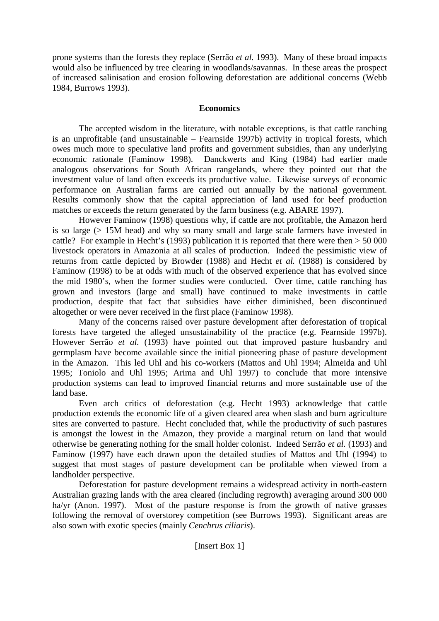prone systems than the forests they replace (Serrão *et al.* 1993). Many of these broad impacts would also be influenced by tree clearing in woodlands/savannas. In these areas the prospect of increased salinisation and erosion following deforestation are additional concerns (Webb 1984, Burrows 1993).

# **Economics**

The accepted wisdom in the literature, with notable exceptions, is that cattle ranching is an unprofitable (and unsustainable – Fearnside 1997b) activity in tropical forests, which owes much more to speculative land profits and government subsidies, than any underlying economic rationale (Faminow 1998). Danckwerts and King (1984) had earlier made analogous observations for South African rangelands, where they pointed out that the investment value of land often exceeds its productive value. Likewise surveys of economic performance on Australian farms are carried out annually by the national government. Results commonly show that the capital appreciation of land used for beef production matches or exceeds the return generated by the farm business (e.g. ABARE 1997).

However Faminow (1998) questions why, if cattle are not profitable, the Amazon herd is so large (> 15M head) and why so many small and large scale farmers have invested in cattle? For example in Hecht's (1993) publication it is reported that there were then > 50 000 livestock operators in Amazonia at all scales of production. Indeed the pessimistic view of returns from cattle depicted by Browder (1988) and Hecht *et al.* (1988) is considered by Faminow (1998) to be at odds with much of the observed experience that has evolved since the mid 1980's, when the former studies were conducted. Over time, cattle ranching has grown and investors (large and small) have continued to make investments in cattle production, despite that fact that subsidies have either diminished, been discontinued altogether or were never received in the first place (Faminow 1998).

Many of the concerns raised over pasture development after deforestation of tropical forests have targeted the alleged unsustainability of the practice (e.g. Fearnside 1997b). However Serrão *et al.* (1993) have pointed out that improved pasture husbandry and germplasm have become available since the initial pioneering phase of pasture development in the Amazon. This led Uhl and his co-workers (Mattos and Uhl 1994; Almeida and Uhl 1995; Toniolo and Uhl 1995; Arima and Uhl 1997) to conclude that more intensive production systems can lead to improved financial returns and more sustainable use of the land base.

Even arch critics of deforestation (e.g. Hecht 1993) acknowledge that cattle production extends the economic life of a given cleared area when slash and burn agriculture sites are converted to pasture. Hecht concluded that, while the productivity of such pastures is amongst the lowest in the Amazon, they provide a marginal return on land that would otherwise be generating nothing for the small holder colonist. Indeed Serrão *et al.* (1993) and Faminow (1997) have each drawn upon the detailed studies of Mattos and Uhl (1994) to suggest that most stages of pasture development can be profitable when viewed from a landholder perspective.

Deforestation for pasture development remains a widespread activity in north-eastern Australian grazing lands with the area cleared (including regrowth) averaging around 300 000 ha/yr (Anon. 1997). Most of the pasture response is from the growth of native grasses following the removal of overstorey competition (see Burrows 1993). Significant areas are also sown with exotic species (mainly *Cenchrus ciliaris*).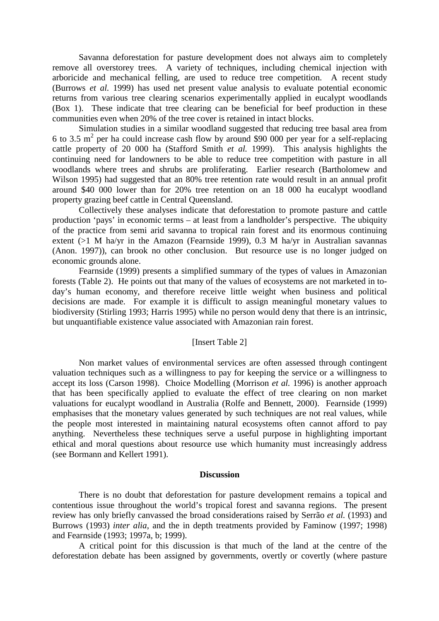Savanna deforestation for pasture development does not always aim to completely remove all overstorey trees. A variety of techniques, including chemical injection with arboricide and mechanical felling, are used to reduce tree competition. A recent study (Burrows *et al.* 1999) has used net present value analysis to evaluate potential economic returns from various tree clearing scenarios experimentally applied in eucalypt woodlands (Box 1). These indicate that tree clearing can be beneficial for beef production in these communities even when 20% of the tree cover is retained in intact blocks.

Simulation studies in a similar woodland suggested that reducing tree basal area from 6 to 3.5  $m^2$  per ha could increase cash flow by around \$90 000 per year for a self-replacing cattle property of 20 000 ha (Stafford Smith *et al.* 1999). This analysis highlights the continuing need for landowners to be able to reduce tree competition with pasture in all woodlands where trees and shrubs are proliferating. Earlier research (Bartholomew and Wilson 1995) had suggested that an 80% tree retention rate would result in an annual profit around \$40 000 lower than for 20% tree retention on an 18 000 ha eucalypt woodland property grazing beef cattle in Central Queensland.

Collectively these analyses indicate that deforestation to promote pasture and cattle production 'pays' in economic terms – at least from a landholder's perspective. The ubiquity of the practice from semi arid savanna to tropical rain forest and its enormous continuing extent (>1 M ha/yr in the Amazon (Fearnside 1999), 0.3 M ha/yr in Australian savannas (Anon. 1997)), can brook no other conclusion. But resource use is no longer judged on economic grounds alone.

Fearnside (1999) presents a simplified summary of the types of values in Amazonian forests (Table 2). He points out that many of the values of ecosystems are not marketed in today's human economy, and therefore receive little weight when business and political decisions are made. For example it is difficult to assign meaningful monetary values to biodiversity (Stirling 1993; Harris 1995) while no person would deny that there is an intrinsic, but unquantifiable existence value associated with Amazonian rain forest.

## [Insert Table 2]

Non market values of environmental services are often assessed through contingent valuation techniques such as a willingness to pay for keeping the service or a willingness to accept its loss (Carson 1998). Choice Modelling (Morrison *et al.* 1996) is another approach that has been specifically applied to evaluate the effect of tree clearing on non market valuations for eucalypt woodland in Australia (Rolfe and Bennett, 2000). Fearnside (1999) emphasises that the monetary values generated by such techniques are not real values, while the people most interested in maintaining natural ecosystems often cannot afford to pay anything. Nevertheless these techniques serve a useful purpose in highlighting important ethical and moral questions about resource use which humanity must increasingly address (see Bormann and Kellert 1991).

## **Discussion**

There is no doubt that deforestation for pasture development remains a topical and contentious issue throughout the world's tropical forest and savanna regions. The present review has only briefly canvassed the broad considerations raised by Serrão *et al.* (1993) and Burrows (1993) *inter alia*, and the in depth treatments provided by Faminow (1997; 1998) and Fearnside (1993; 1997a, b; 1999).

A critical point for this discussion is that much of the land at the centre of the deforestation debate has been assigned by governments, overtly or covertly (where pasture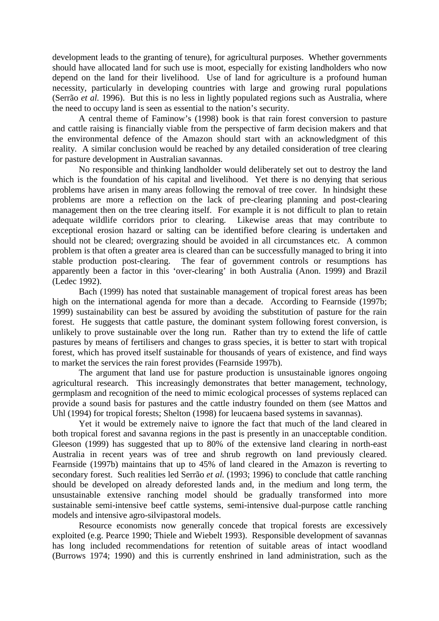development leads to the granting of tenure), for agricultural purposes. Whether governments should have allocated land for such use is moot, especially for existing landholders who now depend on the land for their livelihood. Use of land for agriculture is a profound human necessity, particularly in developing countries with large and growing rural populations (Serrão *et al.* 1996). But this is no less in lightly populated regions such as Australia, where the need to occupy land is seen as essential to the nation's security.

A central theme of Faminow's (1998) book is that rain forest conversion to pasture and cattle raising is financially viable from the perspective of farm decision makers and that the environmental defence of the Amazon should start with an acknowledgment of this reality. A similar conclusion would be reached by any detailed consideration of tree clearing for pasture development in Australian savannas.

No responsible and thinking landholder would deliberately set out to destroy the land which is the foundation of his capital and livelihood. Yet there is no denying that serious problems have arisen in many areas following the removal of tree cover. In hindsight these problems are more a reflection on the lack of pre-clearing planning and post-clearing management then on the tree clearing itself. For example it is not difficult to plan to retain adequate wildlife corridors prior to clearing. Likewise areas that may contribute to exceptional erosion hazard or salting can be identified before clearing is undertaken and should not be cleared; overgrazing should be avoided in all circumstances etc. A common problem is that often a greater area is cleared than can be successfully managed to bring it into stable production post-clearing. The fear of government controls or resumptions has apparently been a factor in this 'over-clearing' in both Australia (Anon. 1999) and Brazil (Ledec 1992).

Bach (1999) has noted that sustainable management of tropical forest areas has been high on the international agenda for more than a decade. According to Fearnside (1997b; 1999) sustainability can best be assured by avoiding the substitution of pasture for the rain forest. He suggests that cattle pasture, the dominant system following forest conversion, is unlikely to prove sustainable over the long run. Rather than try to extend the life of cattle pastures by means of fertilisers and changes to grass species, it is better to start with tropical forest, which has proved itself sustainable for thousands of years of existence, and find ways to market the services the rain forest provides (Fearnside 1997b).

The argument that land use for pasture production is unsustainable ignores ongoing agricultural research. This increasingly demonstrates that better management, technology, germplasm and recognition of the need to mimic ecological processes of systems replaced can provide a sound basis for pastures and the cattle industry founded on them (see Mattos and Uhl (1994) for tropical forests; Shelton (1998) for leucaena based systems in savannas).

Yet it would be extremely naive to ignore the fact that much of the land cleared in both tropical forest and savanna regions in the past is presently in an unacceptable condition. Gleeson (1999) has suggested that up to 80% of the extensive land clearing in north-east Australia in recent years was of tree and shrub regrowth on land previously cleared. Fearnside (1997b) maintains that up to 45% of land cleared in the Amazon is reverting to secondary forest. Such realities led Serrão *et al.* (1993; 1996) to conclude that cattle ranching should be developed on already deforested lands and, in the medium and long term, the unsustainable extensive ranching model should be gradually transformed into more sustainable semi-intensive beef cattle systems, semi-intensive dual-purpose cattle ranching models and intensive agro-silvipastoral models.

Resource economists now generally concede that tropical forests are excessively exploited (e.g. Pearce 1990; Thiele and Wiebelt 1993). Responsible development of savannas has long included recommendations for retention of suitable areas of intact woodland (Burrows 1974; 1990) and this is currently enshrined in land administration, such as the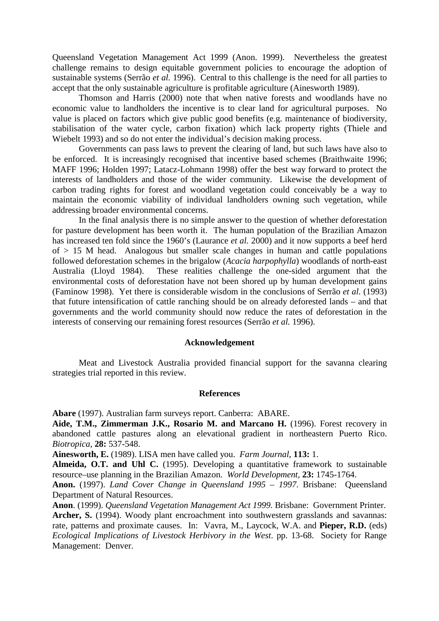Queensland Vegetation Management Act 1999 (Anon. 1999). Nevertheless the greatest challenge remains to design equitable government policies to encourage the adoption of sustainable systems (Serrão *et al.* 1996). Central to this challenge is the need for all parties to accept that the only sustainable agriculture is profitable agriculture (Ainesworth 1989).

Thomson and Harris (2000) note that when native forests and woodlands have no economic value to landholders the incentive is to clear land for agricultural purposes. No value is placed on factors which give public good benefits (e.g. maintenance of biodiversity, stabilisation of the water cycle, carbon fixation) which lack property rights (Thiele and Wiebelt 1993) and so do not enter the individual's decision making process.

Governments can pass laws to prevent the clearing of land, but such laws have also to be enforced. It is increasingly recognised that incentive based schemes (Braithwaite 1996; MAFF 1996; Holden 1997; Latacz-Lohmann 1998) offer the best way forward to protect the interests of landholders and those of the wider community. Likewise the development of carbon trading rights for forest and woodland vegetation could conceivably be a way to maintain the economic viability of individual landholders owning such vegetation, while addressing broader environmental concerns.

In the final analysis there is no simple answer to the question of whether deforestation for pasture development has been worth it. The human population of the Brazilian Amazon has increased ten fold since the 1960's (Laurance *et al.* 2000) and it now supports a beef herd  $of > 15$  M head. Analogous but smaller scale changes in human and cattle populations followed deforestation schemes in the brigalow (*Acacia harpophylla*) woodlands of north-east Australia (Lloyd 1984). These realities challenge the one-sided argument that the environmental costs of deforestation have not been shored up by human development gains (Faminow 1998). Yet there is considerable wisdom in the conclusions of Serrão *et al.* (1993) that future intensification of cattle ranching should be on already deforested lands – and that governments and the world community should now reduce the rates of deforestation in the interests of conserving our remaining forest resources (Serrão *et al.* 1996).

# **Acknowledgement**

Meat and Livestock Australia provided financial support for the savanna clearing strategies trial reported in this review.

#### **References**

**Abare** (1997). Australian farm surveys report. Canberra: ABARE.

**Aide, T.M., Zimmerman J.K., Rosario M. and Marcano H.** (1996). Forest recovery in abandoned cattle pastures along an elevational gradient in northeastern Puerto Rico. *Biotropica*, **28:** 537-548.

**Ainesworth, E.** (1989). LISA men have called you. *Farm Journal*, **113:** 1.

**Almeida, O.T. and Uhl C.** (1995). Developing a quantitative framework to sustainable resource–use planning in the Brazilian Amazon. *World Development*, **23:** 1745-1764.

**Anon.** (1997). *Land Cover Change in Queensland 1995 – 1997*. Brisbane: Queensland Department of Natural Resources.

**Anon**. (1999). *Queensland Vegetation Management Act 1999*. Brisbane: Government Printer. **Archer, S.** (1994). Woody plant encroachment into southwestern grasslands and savannas: rate, patterns and proximate causes. In: Vavra, M., Laycock, W.A. and **Pieper, R.D.** (eds) *Ecological Implications of Livestock Herbivory in the West*. pp. 13-68. Society for Range Management: Denver.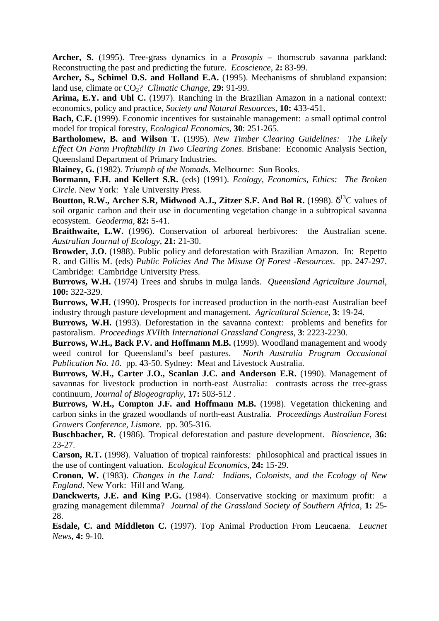**Archer, S.** (1995). Tree-grass dynamics in a *Prosopis* – thornscrub savanna parkland: Reconstructing the past and predicting the future. *Ecoscience*, **2:** 83-99.

**Archer, S., Schimel D.S. and Holland E.A.** (1995). Mechanisms of shrubland expansion: land use, climate or  $CO<sub>2</sub>$ ? *Climatic Change*, **29:** 91-99.

**Arima, E.Y. and Uhl C.** (1997). Ranching in the Brazilian Amazon in a national context: economics, policy and practice, *Society and Natural Resources*, **10:** 433-451.

**Bach, C.F.** (1999). Economic incentives for sustainable management: a small optimal control model for tropical forestry, *Ecological Economics*, **30**: 251-265.

**Bartholomew, B. and Wilson T.** (1995). *New Timber Clearing Guidelines: The Likely Effect On Farm Profitability In Two Clearing Zones*. Brisbane: Economic Analysis Section, Queensland Department of Primary Industries.

**Blainey, G.** (1982). *Triumph of the Nomads*. Melbourne: Sun Books.

**Bormann, F.H. and Kellert S.R.** (eds) (1991). *Ecology, Economics, Ethics: The Broken Circle*. New York: Yale University Press.

**Boutton, R.W., Archer S.R, Midwood A.J., Zitzer S.F. And Bol R.** (1998).  $\delta^{13}C$  values of soil organic carbon and their use in documenting vegetation change in a subtropical savanna ecosystem. *Geoderma*, **82:** 5-41.

**Braithwaite, L.W.** (1996). Conservation of arboreal herbivores: the Australian scene. *Australian Journal of Ecology*, **21:** 21-30.

**Browder, J.O.** (1988). Public policy and deforestation with Brazilian Amazon. In: Repetto R. and Gillis M. (eds) *Public Policies And The Misuse Of Forest -Resources*. pp. 247-297. Cambridge: Cambridge University Press.

**Burrows, W.H.** (1974) Trees and shrubs in mulga lands. *Queensland Agriculture Journal*, **100:** 322-329.

**Burrows, W.H.** (1990). Prospects for increased production in the north-east Australian beef industry through pasture development and management. *Agricultural Science*, **3**: 19-24.

**Burrows, W.H.** (1993). Deforestation in the savanna context: problems and benefits for pastoralism. *Proceedings XVII*th *International Grassland Congress*, **3**: 2223-2230.

**Burrows, W.H., Back P.V. and Hoffmann M.B.** (1999). Woodland management and woody weed control for Queensland's beef pastures. *North Australia Program Occasional Publication No. 10*. pp. 43-50. Sydney: Meat and Livestock Australia.

**Burrows, W.H., Carter J.O., Scanlan J.C. and Anderson E.R.** (1990). Management of savannas for livestock production in north-east Australia: contrasts across the tree-grass continuum, *Journal of Biogeography*, **17:** 503-512 .

Burrows, W.H., Compton J.F. and Hoffmann M.B. (1998). Vegetation thickening and carbon sinks in the grazed woodlands of north-east Australia. *Proceedings Australian Forest Growers Conference*, *Lismore.* pp. 305-316.

**Buschbacher, R.** (1986). Tropical deforestation and pasture development. *Bioscience*, **36:**  23-27.

**Carson, R.T.** (1998). Valuation of tropical rainforests: philosophical and practical issues in the use of contingent valuation. *Ecological Economics*, **24:** 15-29.

**Cronon, W.** (1983). *Changes in the Land: Indians, Colonists, and the Ecology of New England*. New York: Hill and Wang.

**Danckwerts, J.E. and King P.G.** (1984). Conservative stocking or maximum profit: a grazing management dilemma? *Journal of the Grassland Society of Southern Africa*, **1:** 25- 28.

**Esdale, C. and Middleton C.** (1997). Top Animal Production From Leucaena. *Leucnet News*, **4:** 9-10.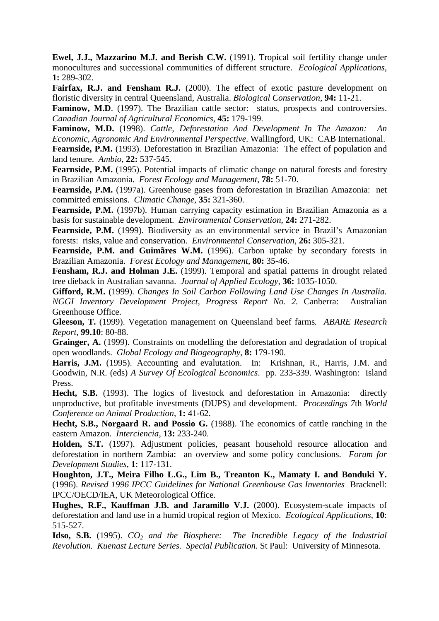**Ewel, J.J., Mazzarino M.J. and Berish C.W.** (1991). Tropical soil fertility change under monocultures and successional communities of different structure. *Ecological Applications*, **1:** 289-302.

Fairfax, R.J. and Fensham R.J. (2000). The effect of exotic pasture development on floristic diversity in central Queensland, Australia. *Biological Conservation,* **94:** 11-21.

**Faminow, M.D.** (1997). The Brazilian cattle sector: status, prospects and controversies. *Canadian Journal of Agricultural Economics*, **45:** 179-199.

**Faminow, M.D.** (1998). *Cattle, Deforestation And Development In The Amazon: An Economic, Agronomic And Environmental Perspective*. Wallingford, UK: CAB International. **Fearnside, P.M.** (1993). Deforestation in Brazilian Amazonia: The effect of population and

land tenure. *Ambio*, **22:** 537-545.

Fearnside, P.M. (1995). Potential impacts of climatic change on natural forests and forestry in Brazilian Amazonia. *Forest Ecology and Management*, **78:** 51-70.

**Fearnside, P.M.** (1997a). Greenhouse gases from deforestation in Brazilian Amazonia: net committed emissions. *Climatic Change*, **35:** 321-360.

**Fearnside, P.M.** (1997b). Human carrying capacity estimation in Brazilian Amazonia as a basis for sustainable development. *Environmental Conservation*, **24:** 271-282.

Fearnside, P.M. (1999). Biodiversity as an environmental service in Brazil's Amazonian forests: risks, value and conservation. *Environmental Conservation*, **26:** 305-321.

**Fearnside, P.M. and Guimãres W.M.** (1996). Carbon uptake by secondary forests in Brazilian Amazonia. *Forest Ecology and Management*, **80:** 35-46.

**Fensham, R.J. and Holman J.E.** (1999). Temporal and spatial patterns in drought related tree dieback in Australian savanna. *Journal of Applied Ecology*, **36:** 1035-1050.

**Gifford, R.M.** (1999). *Changes In Soil Carbon Following Land Use Changes In Australia. NGGI Inventory Development Project, Progress Report No. 2.* Canberra: Australian Greenhouse Office.

**Gleeson, T.** (1999). Vegetation management on Queensland beef farms*. ABARE Research Report*, **99.10**: 80-88.

**Grainger, A.** (1999). Constraints on modelling the deforestation and degradation of tropical open woodlands. *Global Ecology and Biogeography*, **8:** 179-190.

**Harris, J.M.** (1995). Accounting and evalutation. In: Krishnan, R., Harris, J.M. and Goodwin, N.R. (eds) *A Survey Of Ecological Economics*. pp. 233-339. Washington: Island Press.

**Hecht, S.B.** (1993). The logics of livestock and deforestation in Amazonia: directly unproductive, but profitable investments (DUPS) and development. *Proceedings 7*th *World Conference on Animal Production*, **1:** 41-62.

**Hecht, S.B., Norgaard R. and Possio G.** (1988). The economics of cattle ranching in the eastern Amazon. *Interciencia*, **13:** 233-240.

**Holden, S.T.** (1997). Adjustment policies, peasant household resource allocation and deforestation in northern Zambia: an overview and some policy conclusions. *Forum for Development Studies*, **1**: 117-131.

**Houghton, J.T., Meira Filho L.G., Lim B., Treanton K., Mamaty I. and Bonduki Y.** (1996). *Revised 1996 IPCC Guidelines for National Greenhouse Gas Inventories* Bracknell: IPCC/OECD/IEA, UK Meteorological Office.

**Hughes, R.F., Kauffman J.B. and Jaramillo V.J.** (2000). Ecosystem-scale impacts of deforestation and land use in a humid tropical region of Mexico. *Ecological Applications*, **10**: 515-527.

**Idso, S.B.** (1995). *CO2 and the Biosphere: The Incredible Legacy of the Industrial Revolution. Kuenast Lecture Series. Special Publication.* St Paul: University of Minnesota.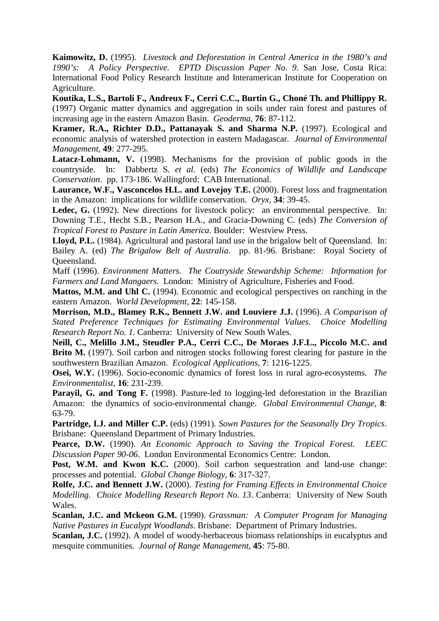**Kaimowitz, D.** (1995). *Livestock and Deforestation in Central America in the 1980's and 1990's: A Policy Perspective. EPTD Discussion Paper No. 9*. San Jose, Costa Rica: International Food Policy Research Institute and Interamerican Institute for Cooperation on Agriculture.

**Koutika, L.S., Bartoli F., Andreux F., Cerri C.C., Burtin G., Choné Th. and Phillippy R.**  (1997) Organic matter dynamics and aggregation in soils under rain forest and pastures of increasing age in the eastern Amazon Basin. *Geoderma*, **76**: 87-112.

**Kramer, R.A., Richter D.D., Pattanayak S. and Sharma N.P.** (1997). Ecological and economic analysis of watershed protection in eastern Madagascar*. Journal of Environmental Management*, **49**: 277-295.

Latacz-Lohmann, V. (1998). Mechanisms for the provision of public goods in the countryside. In: Dabbertz S. *et al.* (eds) *The Economics of Wildlife and Landscape Conservation*. pp. 173-186. Wallingford: CAB International.

**Laurance, W.F., Vasconcelos H.L. and Lovejoy T.E.** (2000). Forest loss and fragmentation in the Amazon: implications for wildlife conservation. *Oryx*, **34**: 39-45.

Ledec, G. (1992). New directions for livestock policy: an environmental perspective. In: Downing T.E., Hecht S.B., Pearson H.A., and Gracia-Downing C. (eds) *The Conversion of Tropical Forest to Pasture in Latin America*. Boulder: Westview Press.

Lloyd, P.L. (1984). Agricultural and pastoral land use in the brigalow belt of Queensland. In: Bailey A. (ed) *The Brigalow Belt of Australia*. pp. 81-96. Brisbane: Royal Society of Queensland.

Maff (1996). *Environment Matters. The Coutryside Stewardship Scheme: Information for Farmers and Land Mangaers*. London: Ministry of Agriculture, Fisheries and Food.

**Mattos, M.M. and Uhl C.** (1994). Economic and ecological perspectives on ranching in the eastern Amazon. *World Development*, **22**: 145-158.

**Morrison, M.D., Blamey R.K., Bennett J.W. and Louviere J.J.** (1996). *A Comparison of Stated Preference Techniques for Estimating Environmental Values. Choice Modelling Research Report No. 1.* Canberra: University of New South Wales.

**Neill, C., Melillo J.M., Steudler P.A., Cerri C.C., De Moraes J.F.L., Piccolo M.C. and Brito M.** (1997). Soil carbon and nitrogen stocks following forest clearing for pasture in the southwestern Brazilian Amazon. *Ecological Applications*, **7**: 1216-1225.

**Osei, W.Y.** (1996). Socio-economic dynamics of forest loss in rural agro-ecosystems*. The Environmentalist*, **16**: 231-239.

**Parayil, G. and Tong F.** (1998). Pasture-led to logging-led deforestation in the Brazilian Amazon: the dynamics of socio-environmental change. *Global Environmental Change*, **8**: 63-79.

**Partridge, I.J. and Miller C.P.** (eds) (1991). *Sown Pastures for the Seasonally Dry Tropics*. Brisbane: Queensland Department of Primary Industries.

**Pearce, D.W.** (1990). *An Economic Approach to Saving the Tropical Forest. LEEC Discussion Paper 90-06*. London Environmental Economics Centre: London.

**Post, W.M. and Kwon K.C.** (2000). Soil carbon sequestration and land-use change: processes and potential. *Global Change Biology*, **6**: 317-327.

**Rolfe, J.C. and Bennett J.W.** (2000). *Testing for Framing Effects in Environmental Choice Modelling. Choice Modelling Research Report No. 13*. Canberra: University of New South Wales.

**Scanlan, J.C. and Mckeon G.M.** (1990). *Grassman: A Computer Program for Managing Native Pastures in Eucalypt Woodlands*. Brisbane: Department of Primary Industries.

**Scanlan, J.C.** (1992). A model of woody-herbaceous biomass relationships in eucalyptus and mesquite communities. *Journal of Range Management*, **45**: 75-80.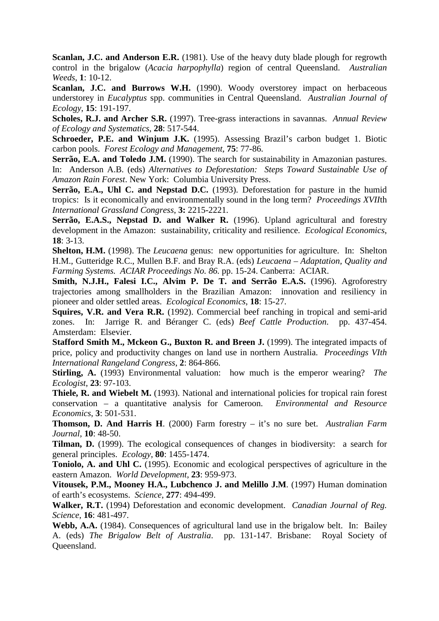**Scanlan, J.C. and Anderson E.R.** (1981). Use of the heavy duty blade plough for regrowth control in the brigalow (*Acacia harpophylla*) region of central Queensland. *Australian Weeds*, **1**: 10-12.

**Scanlan, J.C. and Burrows W.H.** (1990). Woody overstorey impact on herbaceous understorey in *Eucalyptus* spp. communities in Central Queensland. *Australian Journal of Ecology*, **15**: 191-197.

**Scholes, R.J. and Archer S.R.** (1997). Tree-grass interactions in savannas. *Annual Review of Ecology and Systematics*, **28**: 517-544.

**Schroeder, P.E. and Winjum J.K.** (1995). Assessing Brazil's carbon budget 1. Biotic carbon pools. *Forest Ecology and Management*, **75**: 77-86.

**Serrão, E.A. and Toledo J.M.** (1990). The search for sustainability in Amazonian pastures. In: Anderson A.B. (eds) *Alternatives to Deforestation: Steps Toward Sustainable Use of Amazon Rain Forest*. New York: Columbia University Press.

**Serrão, E.A., Uhl C. and Nepstad D.C.** (1993). Deforestation for pasture in the humid tropics: Is it economically and environmentally sound in the long term? *Proceedings XVII*th *International Grassland Congress*, **3:** 2215-2221.

**Serrão, E.A.S., Nepstad D. and Walker R.** (1996). Upland agricultural and forestry development in the Amazon: sustainability, criticality and resilience. *Ecological Economics*, **18**: 3-13.

**Shelton, H.M.** (1998). The *Leucaena* genus: new opportunities for agriculture. In: Shelton H.M., Gutteridge R.C., Mullen B.F. and Bray R.A. (eds) *Leucaena – Adaptation, Quality and Farming Systems. ACIAR Proceedings No. 86.* pp. 15-24. Canberra: ACIAR.

**Smith, N.J.H., Falesi I.C., Alvim P. De T. and Serrão E.A.S.** (1996). Agroforestry trajectories among smallholders in the Brazilian Amazon: innovation and resiliency in pioneer and older settled areas. *Ecological Economics*, **18**: 15-27.

**Squires, V.R. and Vera R.R.** (1992). Commercial beef ranching in tropical and semi-arid zones. In: Jarrige R. and Béranger C. (eds) *Beef Cattle Production*. pp. 437-454. Amsterdam: Elsevier.

**Stafford Smith M., Mckeon G., Buxton R. and Breen J.** (1999). The integrated impacts of price, policy and productivity changes on land use in northern Australia. *Proceedings VIth International Rangeland Congress*, **2**: 864-866.

**Stirling, A.** (1993) Environmental valuation: how much is the emperor wearing? *The Ecologist*, **23**: 97-103.

**Thiele, R. and Wiebelt M.** (1993). National and international policies for tropical rain forest conservation – a quantitative analysis for Cameroon. *Environmental and Resource Economics*, **3**: 501-531.

**Thomson, D. And Harris H**. (2000) Farm forestry – it's no sure bet. *Australian Farm Journal*, **10**: 48-50.

**Tilman, D.** (1999). The ecological consequences of changes in biodiversity: a search for general principles. *Ecology*, **80**: 1455-1474.

**Toniolo, A. and Uhl C.** (1995). Economic and ecological perspectives of agriculture in the eastern Amazon. *World Development*, **23**: 959-973.

**Vitousek, P.M., Mooney H.A., Lubchenco J. and Melillo J.M**. (1997) Human domination of earth's ecosystems. *Science*, **277**: 494-499.

**Walker, R.T.** (1994) Deforestation and economic development. *Canadian Journal of Reg. Science*, **16**: 481-497.

**Webb, A.A.** (1984). Consequences of agricultural land use in the brigalow belt. In: Bailey A. (eds) *The Brigalow Belt of Australia*. pp. 131-147. Brisbane: Royal Society of Queensland.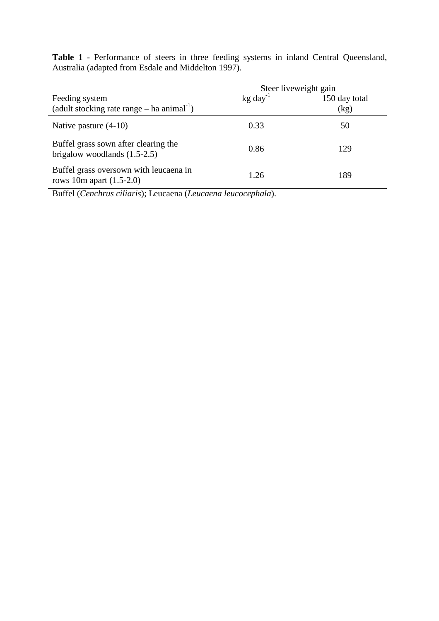**Table 1 -** Performance of steers in three feeding systems in inland Central Queensland, Australia (adapted from Esdale and Middelton 1997).

|                                                                            | Steer liveweight gain |                       |
|----------------------------------------------------------------------------|-----------------------|-----------------------|
| Feeding system<br>(adult stocking rate range $-$ ha animal <sup>-1</sup> ) | $kg \, day^{-1}$      | 150 day total<br>(kg) |
| Native pasture $(4-10)$                                                    | 0.33                  | 50                    |
| Buffel grass sown after clearing the<br>brigalow woodlands $(1.5-2.5)$     | 0.86                  | 129                   |
| Buffel grass oversown with leucaena in<br>rows 10m apart $(1.5-2.0)$       | 1.26                  | 189                   |

Buffel (*Cenchrus ciliaris*); Leucaena (*Leucaena leucocephala*).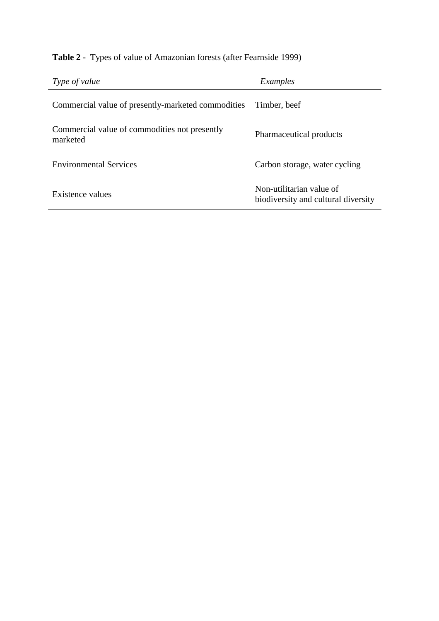# **Table 2 -** Types of value of Amazonian forests (after Fearnside 1999)

| Type of value                                             | Examples                                                        |  |
|-----------------------------------------------------------|-----------------------------------------------------------------|--|
| Commercial value of presently-marketed commodities        | Timber, beef                                                    |  |
| Commercial value of commodities not presently<br>marketed | Pharmaceutical products                                         |  |
| <b>Environmental Services</b>                             | Carbon storage, water cycling                                   |  |
| Existence values                                          | Non-utilitarian value of<br>biodiversity and cultural diversity |  |